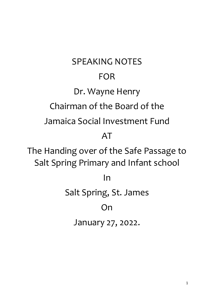SPEAKING NOTES FOR Dr. Wayne Henry Chairman of the Board of the Jamaica Social Investment Fund AT The Handing over of the Safe Passage to Salt Spring Primary and Infant school In Salt Spring, St. James On January 27, 2022.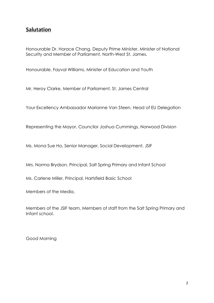## **Salutation**

Honourable Dr. Horace Chang, Deputy Prime Minister, Minister of National Security and Member of Parliament, North-West St. James.

Honourable, Fayval Williams, Minister of Education and Youth

Mr. Heroy Clarke, Member of Parliament, St. James Central

Your Excellency Ambassador Marianne Van Steen, Head of EU Delegation

Representing the Mayor, Councilor Joshua Cummings, Norwood Division

Ms. Mona Sue Ho, Senior Manager, Social Development, JSIF

Mrs. Norma Brydson, Principal, Salt Spring Primary and Infant School

Ms. Carlene Miller, Principal, Hartsfield Basic School

Members of the Media,

Members of the JSIF team, Members of staff from the Salt Spring Primary and Infant school.

Good Morning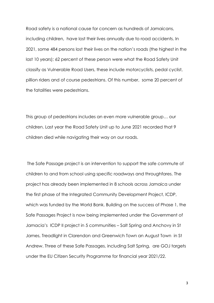Road safety is a national cause for concern as hundreds of Jamaicans, including children, have lost their lives annually due to road accidents. In 2021, some 484 persons lost their lives on the nation's roads (the highest in the last 10 years); 62 percent of these person were what the Road Safety Unit classify as Vulnerable Road Users, these include motorcyclists, pedal cyclist, pillion riders and of course pedestrians. Of this number, some 20 percent of the fatalities were pedestrians.

This group of pedestrians includes an even more vulnerable group… our children. Last year the Road Safety Unit up to June 2021 recorded that 9 children died while navigating their way on our roads.

The Safe Passage project is an intervention to support the safe commute of children to and from school using specific roadways and throughfares. The project has already been implemented in 8 schools across Jamaica under the first phase of the Integrated Community Development Project, ICDP, which was funded by the World Bank. Building on the success of Phase 1, the Safe Passages Project is now being implemented under the Government of Jamacia's ICDP II project in 5 communities – Salt Spring and Anchovy in St James, Treadlight in Clarendon and Greenwich Town an August Town in St Andrew. Three of these Safe Passages, including Salt Spring, are GOJ targets under the EU Citizen Security Programme for financial year 2021/22.

3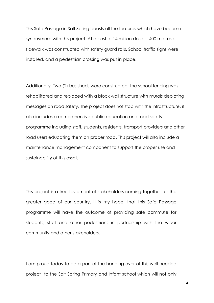This Safe Passage in Salt Spring boasts all the features which have become synonymous with this project. At a cost of 14 million dollars- 400 metres of sidewalk was constructed with safety guard rails. School traffic signs were installed, and a pedestrian crossing was put in place.

Additionally, Two (2) bus sheds were constructed, the school fencing was rehabilitated and replaced with a block wall structure with murals depicting messages on road safety. The project does not stop with the infrastructure, it also includes a comprehensive public education and road safety programme including staff, students, residents, transport providers and other road users educating them on proper road. This project will also include a maintenance management component to support the proper use and sustainability of this asset.

This project is a true testament of stakeholders coming together for the greater good of our country. It is my hope, that this Safe Passage programme will have the outcome of providing safe commute for students, staff and other pedestrians in partnership with the wider community and other stakeholders.

I am proud today to be a part of the handing over of this well needed project to the Salt Spring Primary and Infant school which will not only